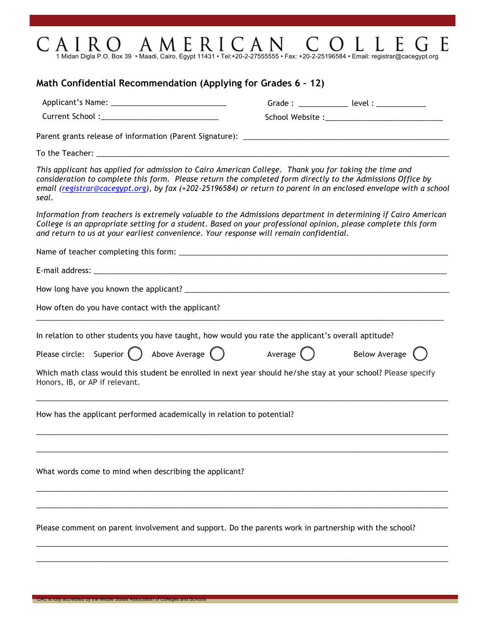## $C \text{ and } R \text{ and } C \text{ and } C$  and  $C$  and  $C$  and  $C$  and  $C$  and  $C$  and  $C$  and  $C$  and  $C$  and  $C$  and  $C$  and  $C$  and  $C$  and  $C$  and  $C$  and  $C$  and  $C$  and  $C$  and  $C$  and  $C$  and  $C$  and  $C$  and  $C$  and  $C$  and  $C$  and  $C$ E

## **Math Confidential Recommendation (Applying for Grades 6 – 12)**

|                                                                                                                | Grade : _______________ level : ____________                                                                                                                                                                                    |
|----------------------------------------------------------------------------------------------------------------|---------------------------------------------------------------------------------------------------------------------------------------------------------------------------------------------------------------------------------|
|                                                                                                                |                                                                                                                                                                                                                                 |
|                                                                                                                |                                                                                                                                                                                                                                 |
|                                                                                                                |                                                                                                                                                                                                                                 |
| This applicant has applied for admission to Cairo American College. Thank you for taking the time and<br>seal. | consideration to complete this form. Please return the completed form directly to the Admissions Office by<br>email (registrar@cacegypt.org), by fax (+202-25196584) or return to parent in an enclosed envelope with a school  |
| and return to us at your earliest convenience. Your response will remain confidential.                         | Information from teachers is extremely valuable to the Admissions department in determining if Cairo American<br>College is an appropriate setting for a student. Based on your professional opinion, please complete this form |
|                                                                                                                |                                                                                                                                                                                                                                 |
|                                                                                                                |                                                                                                                                                                                                                                 |
|                                                                                                                |                                                                                                                                                                                                                                 |
| How often do you have contact with the applicant?                                                              |                                                                                                                                                                                                                                 |
| In relation to other students you have taught, how would you rate the applicant's overall aptitude?            |                                                                                                                                                                                                                                 |
| Please circle: Superior $\bigcirc$ Above Average $\bigcirc$                                                    | Average $\bigcirc$ Below Average $\bigcirc$                                                                                                                                                                                     |
| Honors, IB, or AP if relevant.                                                                                 | Which math class would this student be enrolled in next year should he/she stay at your school? Please specify                                                                                                                  |
| How has the applicant performed academically in relation to potential?                                         |                                                                                                                                                                                                                                 |
|                                                                                                                |                                                                                                                                                                                                                                 |
| What words come to mind when describing the applicant?                                                         |                                                                                                                                                                                                                                 |
|                                                                                                                |                                                                                                                                                                                                                                 |
| Please comment on parent involvement and support. Do the parents work in partnership with the school?          |                                                                                                                                                                                                                                 |

 $\_$  , and the set of the set of the set of the set of the set of the set of the set of the set of the set of the set of the set of the set of the set of the set of the set of the set of the set of the set of the set of th